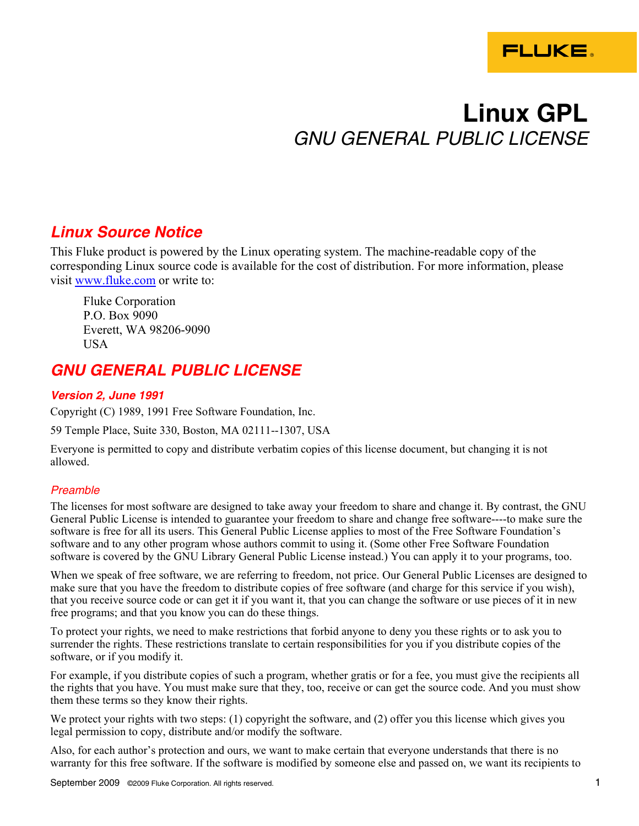

# **Linux GPL**  *GNU GENERAL PUBLIC LICENSE*

# *Linux Source Notice*

This Fluke product is powered by the Linux operating system. The machine-readable copy of the corresponding Linux source code is available for the cost of distribution. For more information, please visit www.fluke.com or write to:

Fluke Corporation P.O. Box 9090 Everett, WA 98206-9090 USA

# *GNU GENERAL PUBLIC LICENSE*

## *Version 2, June 1991*

Copyright (C) 1989, 1991 Free Software Foundation, Inc.

59 Temple Place, Suite 330, Boston, MA 02111--1307, USA

Everyone is permitted to copy and distribute verbatim copies of this license document, but changing it is not allowed.

## *Preamble*

The licenses for most software are designed to take away your freedom to share and change it. By contrast, the GNU General Public License is intended to guarantee your freedom to share and change free software----to make sure the software is free for all its users. This General Public License applies to most of the Free Software Foundation's software and to any other program whose authors commit to using it. (Some other Free Software Foundation software is covered by the GNU Library General Public License instead.) You can apply it to your programs, too.

When we speak of free software, we are referring to freedom, not price. Our General Public Licenses are designed to make sure that you have the freedom to distribute copies of free software (and charge for this service if you wish), that you receive source code or can get it if you want it, that you can change the software or use pieces of it in new free programs; and that you know you can do these things.

To protect your rights, we need to make restrictions that forbid anyone to deny you these rights or to ask you to surrender the rights. These restrictions translate to certain responsibilities for you if you distribute copies of the software, or if you modify it.

For example, if you distribute copies of such a program, whether gratis or for a fee, you must give the recipients all the rights that you have. You must make sure that they, too, receive or can get the source code. And you must show them these terms so they know their rights.

We protect your rights with two steps: (1) copyright the software, and (2) offer you this license which gives you legal permission to copy, distribute and/or modify the software.

Also, for each author's protection and ours, we want to make certain that everyone understands that there is no warranty for this free software. If the software is modified by someone else and passed on, we want its recipients to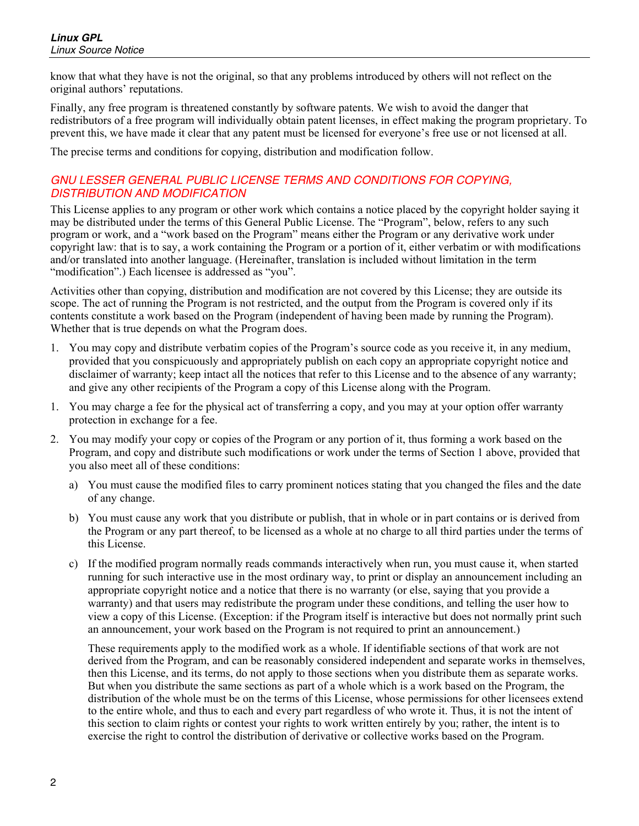know that what they have is not the original, so that any problems introduced by others will not reflect on the original authors' reputations.

Finally, any free program is threatened constantly by software patents. We wish to avoid the danger that redistributors of a free program will individually obtain patent licenses, in effect making the program proprietary. To prevent this, we have made it clear that any patent must be licensed for everyone's free use or not licensed at all.

The precise terms and conditions for copying, distribution and modification follow.

#### *GNU LESSER GENERAL PUBLIC LICENSE TERMS AND CONDITIONS FOR COPYING, DISTRIBUTION AND MODIFICATION*

This License applies to any program or other work which contains a notice placed by the copyright holder saying it may be distributed under the terms of this General Public License. The "Program", below, refers to any such program or work, and a "work based on the Program" means either the Program or any derivative work under copyright law: that is to say, a work containing the Program or a portion of it, either verbatim or with modifications and/or translated into another language. (Hereinafter, translation is included without limitation in the term "modification".) Each licensee is addressed as "you".

Activities other than copying, distribution and modification are not covered by this License; they are outside its scope. The act of running the Program is not restricted, and the output from the Program is covered only if its contents constitute a work based on the Program (independent of having been made by running the Program). Whether that is true depends on what the Program does.

- 1. You may copy and distribute verbatim copies of the Program's source code as you receive it, in any medium, provided that you conspicuously and appropriately publish on each copy an appropriate copyright notice and disclaimer of warranty; keep intact all the notices that refer to this License and to the absence of any warranty; and give any other recipients of the Program a copy of this License along with the Program.
- 1. You may charge a fee for the physical act of transferring a copy, and you may at your option offer warranty protection in exchange for a fee.
- 2. You may modify your copy or copies of the Program or any portion of it, thus forming a work based on the Program, and copy and distribute such modifications or work under the terms of Section 1 above, provided that you also meet all of these conditions:
	- a) You must cause the modified files to carry prominent notices stating that you changed the files and the date of any change.
	- b) You must cause any work that you distribute or publish, that in whole or in part contains or is derived from the Program or any part thereof, to be licensed as a whole at no charge to all third parties under the terms of this License.
	- c) If the modified program normally reads commands interactively when run, you must cause it, when started running for such interactive use in the most ordinary way, to print or display an announcement including an appropriate copyright notice and a notice that there is no warranty (or else, saying that you provide a warranty) and that users may redistribute the program under these conditions, and telling the user how to view a copy of this License. (Exception: if the Program itself is interactive but does not normally print such an announcement, your work based on the Program is not required to print an announcement.)

These requirements apply to the modified work as a whole. If identifiable sections of that work are not derived from the Program, and can be reasonably considered independent and separate works in themselves, then this License, and its terms, do not apply to those sections when you distribute them as separate works. But when you distribute the same sections as part of a whole which is a work based on the Program, the distribution of the whole must be on the terms of this License, whose permissions for other licensees extend to the entire whole, and thus to each and every part regardless of who wrote it. Thus, it is not the intent of this section to claim rights or contest your rights to work written entirely by you; rather, the intent is to exercise the right to control the distribution of derivative or collective works based on the Program.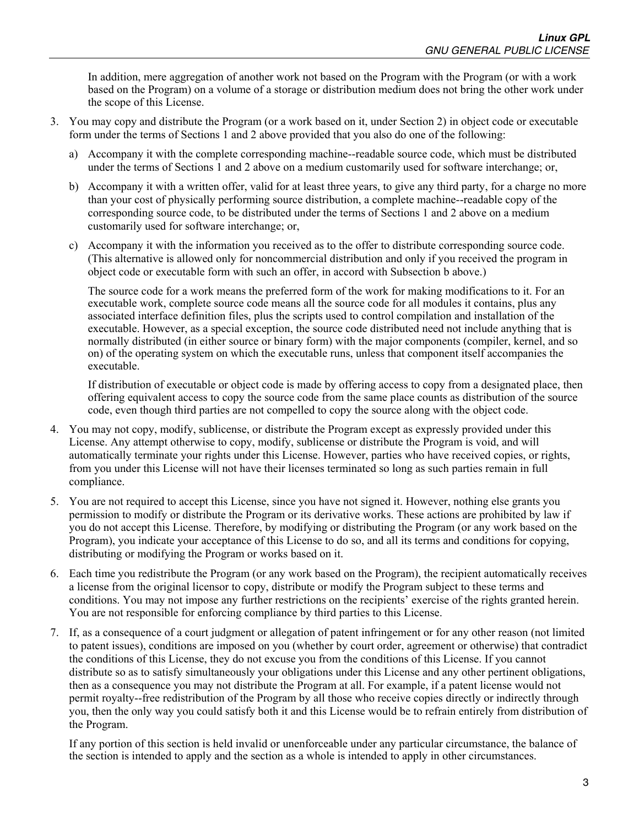In addition, mere aggregation of another work not based on the Program with the Program (or with a work based on the Program) on a volume of a storage or distribution medium does not bring the other work under the scope of this License.

- 3. You may copy and distribute the Program (or a work based on it, under Section 2) in object code or executable form under the terms of Sections 1 and 2 above provided that you also do one of the following:
	- a) Accompany it with the complete corresponding machine--readable source code, which must be distributed under the terms of Sections 1 and 2 above on a medium customarily used for software interchange; or,
	- b) Accompany it with a written offer, valid for at least three years, to give any third party, for a charge no more than your cost of physically performing source distribution, a complete machine--readable copy of the corresponding source code, to be distributed under the terms of Sections 1 and 2 above on a medium customarily used for software interchange; or,
	- c) Accompany it with the information you received as to the offer to distribute corresponding source code. (This alternative is allowed only for noncommercial distribution and only if you received the program in object code or executable form with such an offer, in accord with Subsection b above.)

The source code for a work means the preferred form of the work for making modifications to it. For an executable work, complete source code means all the source code for all modules it contains, plus any associated interface definition files, plus the scripts used to control compilation and installation of the executable. However, as a special exception, the source code distributed need not include anything that is normally distributed (in either source or binary form) with the major components (compiler, kernel, and so on) of the operating system on which the executable runs, unless that component itself accompanies the executable.

If distribution of executable or object code is made by offering access to copy from a designated place, then offering equivalent access to copy the source code from the same place counts as distribution of the source code, even though third parties are not compelled to copy the source along with the object code.

- 4. You may not copy, modify, sublicense, or distribute the Program except as expressly provided under this License. Any attempt otherwise to copy, modify, sublicense or distribute the Program is void, and will automatically terminate your rights under this License. However, parties who have received copies, or rights, from you under this License will not have their licenses terminated so long as such parties remain in full compliance.
- 5. You are not required to accept this License, since you have not signed it. However, nothing else grants you permission to modify or distribute the Program or its derivative works. These actions are prohibited by law if you do not accept this License. Therefore, by modifying or distributing the Program (or any work based on the Program), you indicate your acceptance of this License to do so, and all its terms and conditions for copying, distributing or modifying the Program or works based on it.
- 6. Each time you redistribute the Program (or any work based on the Program), the recipient automatically receives a license from the original licensor to copy, distribute or modify the Program subject to these terms and conditions. You may not impose any further restrictions on the recipients' exercise of the rights granted herein. You are not responsible for enforcing compliance by third parties to this License.
- 7. If, as a consequence of a court judgment or allegation of patent infringement or for any other reason (not limited to patent issues), conditions are imposed on you (whether by court order, agreement or otherwise) that contradict the conditions of this License, they do not excuse you from the conditions of this License. If you cannot distribute so as to satisfy simultaneously your obligations under this License and any other pertinent obligations, then as a consequence you may not distribute the Program at all. For example, if a patent license would not permit royalty--free redistribution of the Program by all those who receive copies directly or indirectly through you, then the only way you could satisfy both it and this License would be to refrain entirely from distribution of the Program.

If any portion of this section is held invalid or unenforceable under any particular circumstance, the balance of the section is intended to apply and the section as a whole is intended to apply in other circumstances.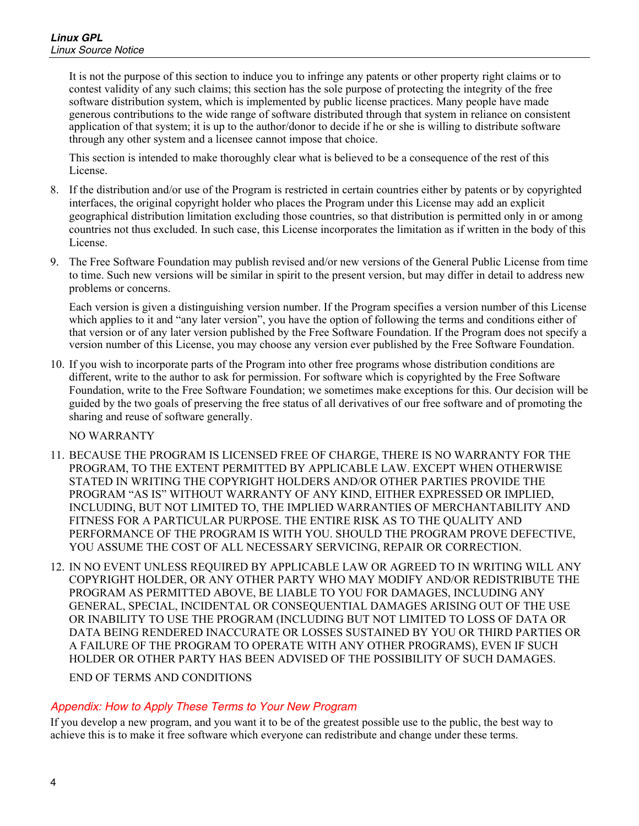It is not the purpose of this section to induce you to infringe any patents or other property right claims or to contest validity of any such claims; this section has the sole purpose of protecting the integrity of the free software distribution system, which is implemented by public license practices. Many people have made generous contributions to the wide range of software distributed through that system in reliance on consistent application of that system; it is up to the author/donor to decide if he or she is willing to distribute software through any other system and a licensee cannot impose that choice.

This section is intended to make thoroughly clear what is believed to be a consequence of the rest of this License.

- 8. If the distribution and/or use of the Program is restricted in certain countries either by patents or by copyrighted interfaces, the original copyright holder who places the Program under this License may add an explicit geographical distribution limitation excluding those countries, so that distribution is permitted only in or among countries not thus excluded. In such case, this License incorporates the limitation as if written in the body of this License.
- 9. The Free Software Foundation may publish revised and/or new versions of the General Public License from time to time. Such new versions will be similar in spirit to the present version, but may differ in detail to address new problems or concerns.

Each version is given a distinguishing version number. If the Program specifies a version number of this License which applies to it and "any later version", you have the option of following the terms and conditions either of that version or of any later version published by the Free Software Foundation. If the Program does not specify a version number of this License, you may choose any version ever published by the Free Software Foundation.

10. If you wish to incorporate parts of the Program into other free programs whose distribution conditions are different, write to the author to ask for permission. For software which is copyrighted by the Free Software Foundation, write to the Free Software Foundation; we sometimes make exceptions for this. Our decision will be guided by the two goals of preserving the free status of all derivatives of our free software and of promoting the sharing and reuse of software generally.

NO WARRANTY

- 11. BECAUSE THE PROGRAM IS LICENSED FREE OF CHARGE, THERE IS NO WARRANTY FOR THE PROGRAM, TO THE EXTENT PERMITTED BY APPLICABLE LAW. EXCEPT WHEN OTHERWISE STATED IN WRITING THE COPYRIGHT HOLDERS AND/OR OTHER PARTIES PROVIDE THE PROGRAM "AS IS" WITHOUT WARRANTY OF ANY KIND, EITHER EXPRESSED OR IMPLIED, INCLUDING, BUT NOT LIMITED TO, THE IMPLIED WARRANTIES OF MERCHANTABILITY AND FITNESS FOR A PARTICULAR PURPOSE. THE ENTIRE RISK AS TO THE QUALITY AND PERFORMANCE OF THE PROGRAM IS WITH YOU. SHOULD THE PROGRAM PROVE DEFECTIVE, YOU ASSUME THE COST OF ALL NECESSARY SERVICING, REPAIR OR CORRECTION.
- 12. IN NO EVENT UNLESS REQUIRED BY APPLICABLE LAW OR AGREED TO IN WRITING WILL ANY COPYRIGHT HOLDER, OR ANY OTHER PARTY WHO MAY MODIFY AND/OR REDISTRIBUTE THE PROGRAM AS PERMITTED ABOVE, BE LIABLE TO YOU FOR DAMAGES, INCLUDING ANY GENERAL, SPECIAL, INCIDENTAL OR CONSEQUENTIAL DAMAGES ARISING OUT OF THE USE OR INABILITY TO USE THE PROGRAM (INCLUDING BUT NOT LIMITED TO LOSS OF DATA OR DATA BEING RENDERED INACCURATE OR LOSSES SUSTAINED BY YOU OR THIRD PARTIES OR A FAILURE OF THE PROGRAM TO OPERATE WITH ANY OTHER PROGRAMS), EVEN IF SUCH HOLDER OR OTHER PARTY HAS BEEN ADVISED OF THE POSSIBILITY OF SUCH DAMAGES.

END OF TERMS AND CONDITIONS

## *Appendix: How to Apply These Terms to Your New Program*

If you develop a new program, and you want it to be of the greatest possible use to the public, the best way to achieve this is to make it free software which everyone can redistribute and change under these terms.